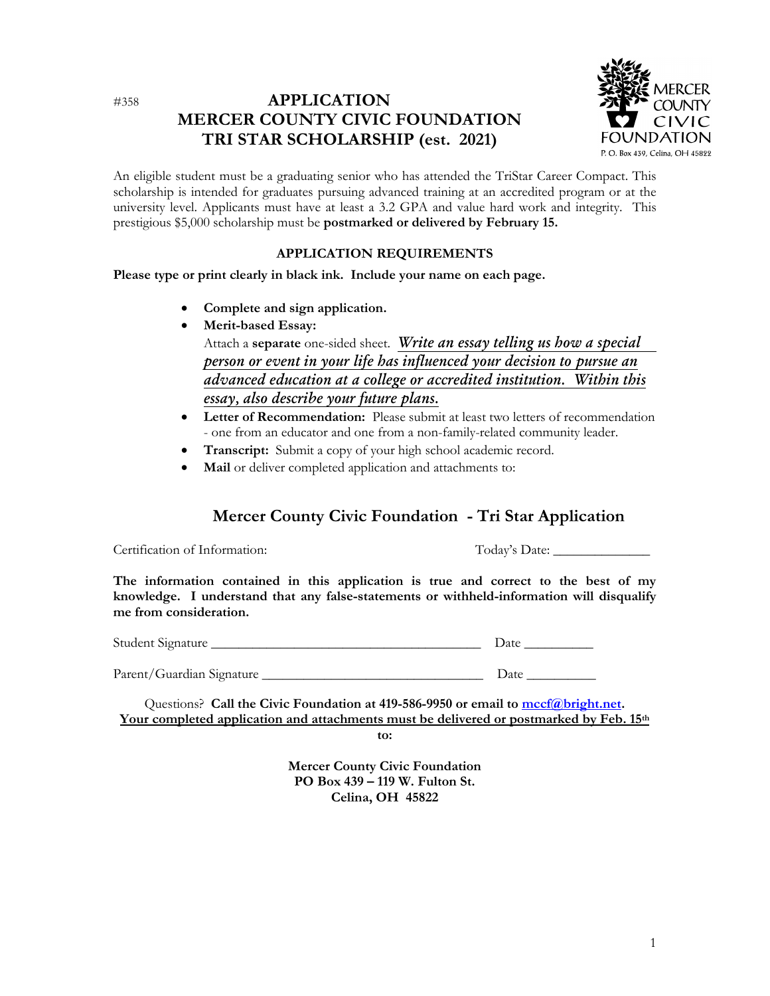### #358 **APPLICATION MERCER COUNTY CIVIC FOUNDATION TRI STAR SCHOLARSHIP (est. 2021)**



An eligible student must be a graduating senior who has attended the TriStar Career Compact. This scholarship is intended for graduates pursuing advanced training at an accredited program or at the university level. Applicants must have at least a 3.2 GPA and value hard work and integrity. This prestigious \$5,000 scholarship must be **postmarked or delivered by February 15.**

#### **APPLICATION REQUIREMENTS**

**Please type or print clearly in black ink. Include your name on each page.**

- **Complete and sign application.**
- **Merit-based Essay:** Attach a **separate** one-sided sheet. *Write an essay telling us how a special person or event in your life has influenced your decision to pursue an advanced education at a college or accredited institution. Within this essay, also describe your future plans.*
- **•** Letter of Recommendation: Please submit at least two letters of recommendation - one from an educator and one from a non-family-related community leader.
- **Transcript:** Submit a copy of your high school academic record.
- **Mail** or deliver completed application and attachments to:

# **Mercer County Civic Foundation - Tri Star Application**

Certification of Information: Today's Date:

**The information contained in this application is true and correct to the best of my knowledge. I understand that any false-statements or withheld-information will disqualify me from consideration.**

| Student Signature | Date |
|-------------------|------|
|                   |      |
|                   |      |

Parent/Guardian Signature \_\_\_\_\_\_\_\_\_\_\_\_\_\_\_\_\_\_\_\_\_\_\_\_\_\_\_\_\_\_\_\_ Date \_\_\_\_\_\_\_\_\_\_

Questions? **Call the Civic Foundation at 419-586-9950 or email to [mccf@bright.net.](mailto:mccf@bright.net) Your completed application and attachments must be delivered or postmarked by Feb. 15th**

**to:**

**Mercer County Civic Foundation PO Box 439 – 119 W. Fulton St. Celina, OH 45822**